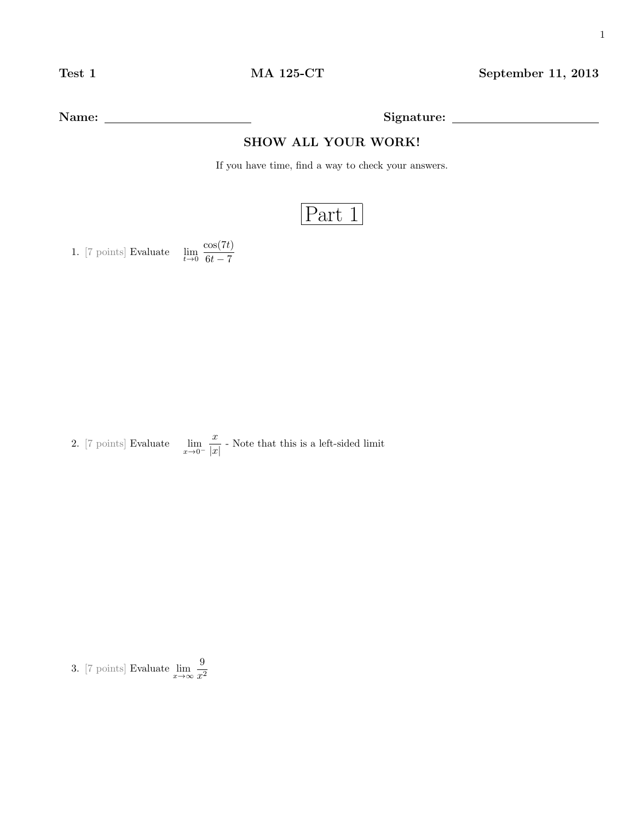Name: Signature:

## SHOW ALL YOUR WORK!

If you have time, find a way to check your answers.

## Part 1

1. [7 points] Evaluate  $\lim_{t\to 0} \frac{\cos(7t)}{6t-7}$  $6t - 7$ 

2. [7 points] Evaluate  $\lim_{x\to 0^-}$  $\boldsymbol{x}$  $\frac{x}{|x|}$  - Note that this is a left-sided limit

3. [7 points] Evaluate  $\lim_{x\to\infty} \frac{9}{x^2}$  $x^2$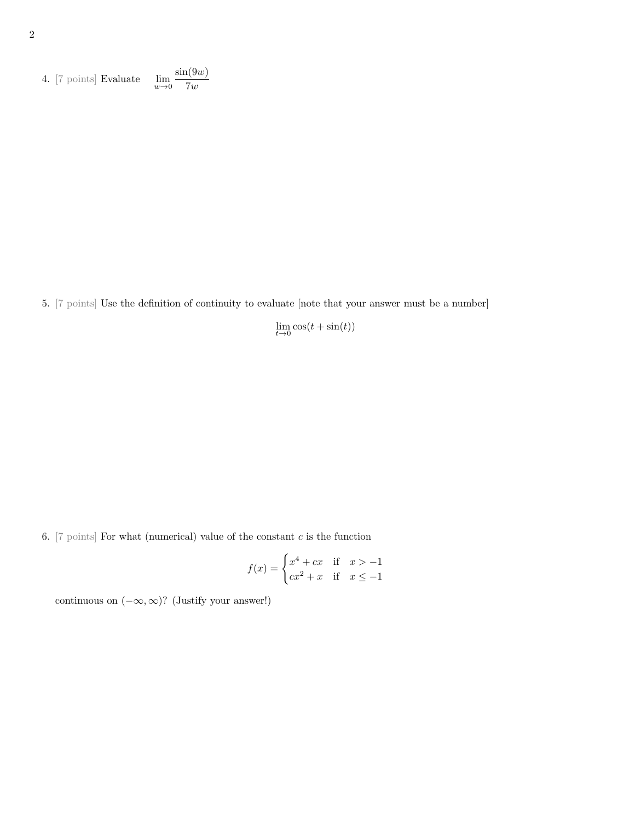4. [7 points] Evaluate 
$$
\lim_{w \to 0} \frac{\sin(9w)}{7w}
$$

5. [7 points] Use the definition of continuity to evaluate [note that your answer must be a number]

 $\lim_{t\to 0} \cos(t + \sin(t))$ 

6. [7 points] For what (numerical) value of the constant  $c$  is the function

$$
f(x) = \begin{cases} x^4 + cx & \text{if } x > -1 \\ cx^2 + x & \text{if } x \le -1 \end{cases}
$$

continuous on  $(-\infty, \infty)$ ? (Justify your answer!)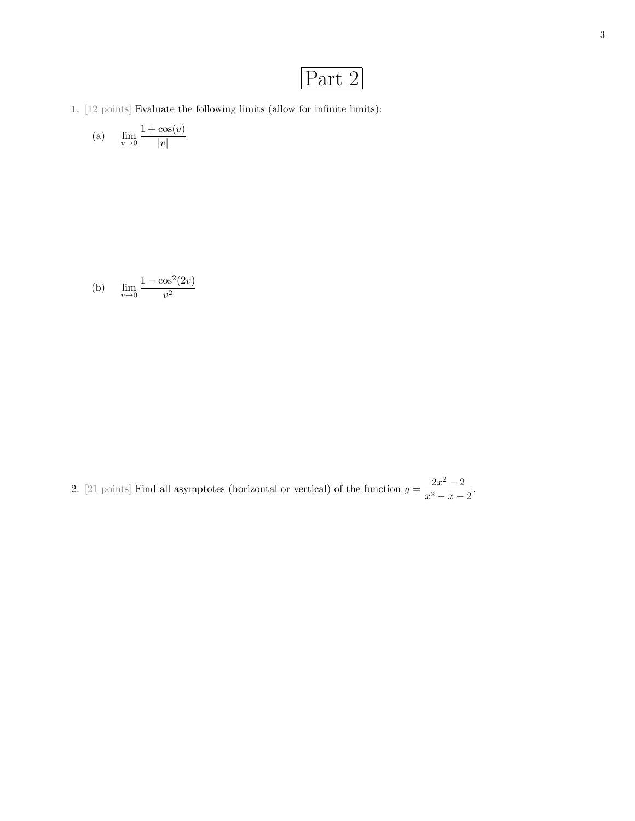## Part 2

1.  $\left[ 12 \text{ points} \right]$  Evaluate the following limits (allow for infinite limits):

(a) 
$$
\lim_{v \to 0} \frac{1 + \cos(v)}{|v|}
$$

(b) 
$$
\lim_{v \to 0} \frac{1 - \cos^2(2v)}{v^2}
$$

2. [21 points] Find all asymptotes (horizontal or vertical) of the function  $y = \frac{2x^2 - 2}{2}$  $\frac{2x}{x^2-x-2}$ .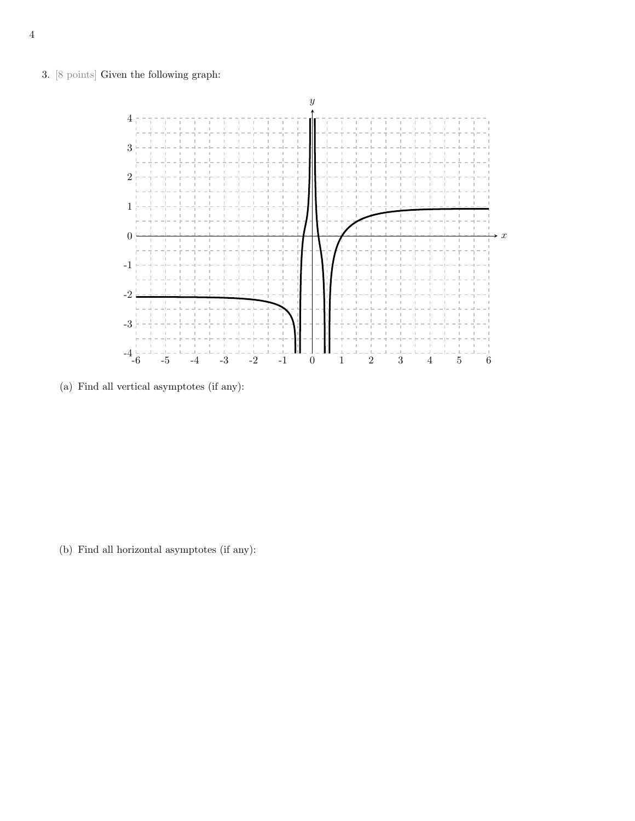3. [8 points] Given the following graph:



(a) Find all vertical asymptotes (if any):

(b) Find all horizontal asymptotes (if any):